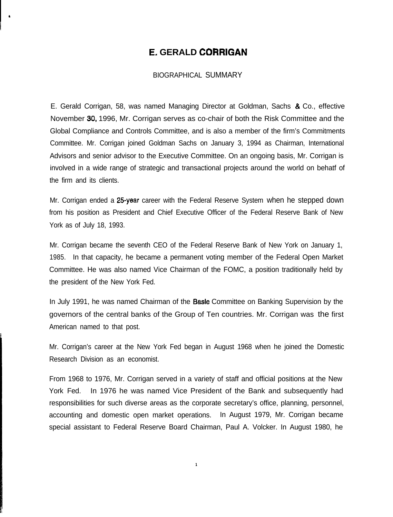## E. **GERALD CORRIGAN**

## BIOGRAPHICAL SUMMARY

E. Gerald Corrigan, 58, was named Managing Director at Goldman, Sachs & Co., effective November 30, 1996, Mr. Corrigan serves as co-chair of both the Risk Committee and the Global Compliance and Controls Committee, and is also a member of the firm's Commitments Committee. Mr. Corrigan joined Goldman Sachs on January 3, 1994 as Chairman, International Advisors and senior advisor to the Executive Committee. On an ongoing basis, Mr. Corrigan is involved in a wide range of strategic and transactional projects around the world on behatf of the firm and its clients.

Mr. Corrigan ended a 25-year career with the Federal Reserve System when he stepped down from his position as President and Chief Executive Officer of the Federal Reserve Bank of New York as of July 18, 1993.

Mr. Corrigan became the seventh CEO of the Federal Reserve Bank of New York on January 1, 1985. In that capacity, he became a permanent voting member of the Federal Open Market Committee. He was also named Vice Chairman of the FOMC, a position traditionally held by the president of the New York Fed.

In July 1991, he was named Chairman of the **Basle** Committee on Banking Supervision by the governors of the central banks of the Group of Ten countries. Mr. Corrigan was the first American named to that post.

Mr. Corrigan's career at the New York Fed began in August 1968 when he joined the Domestic Research Division as an economist.

From 1968 to 1976, Mr. Corrigan served in a variety of staff and official positions at the New York Fed. In 1976 he was named Vice President of the Bank and subsequently had responsibilities for such diverse areas as the corporate secretary's office, planning, personnel, accounting and domestic open market operations. In August 1979, Mr. Corrigan became special assistant to Federal Reserve Board Chairman, Paul A. Volcker. In August 1980, he

**1**